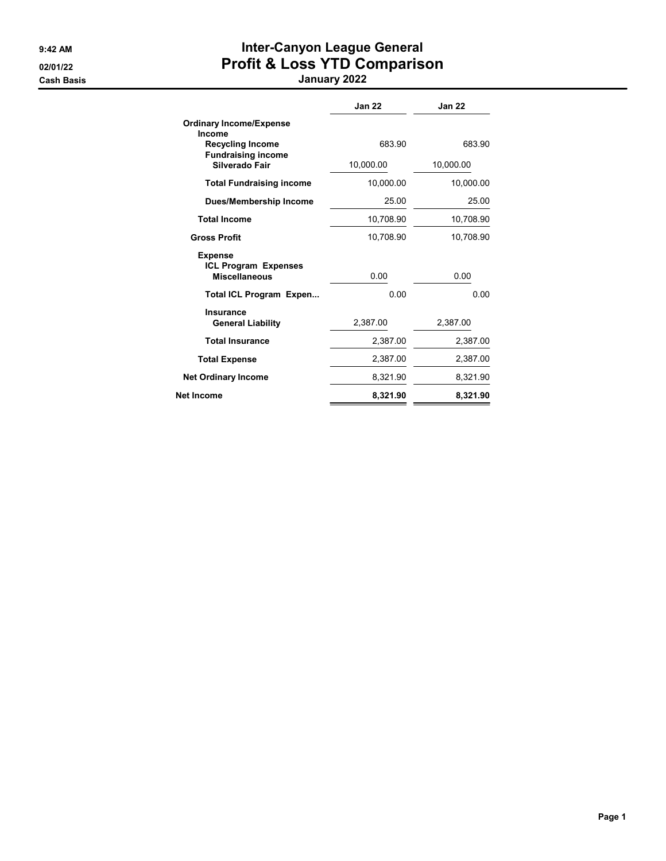# 9:42 AM **Inter-Canyon League General** 02/01/22 **Profit & Loss YTD Comparison**

Cash Basis January 2022

|                                                      | <b>Jan 22</b> | <b>Jan 22</b> |
|------------------------------------------------------|---------------|---------------|
| <b>Ordinary Income/Expense</b><br>Income             |               |               |
| <b>Recycling Income</b><br><b>Fundraising income</b> | 683.90        | 683.90        |
| Silverado Fair                                       | 10,000.00     | 10,000.00     |
| <b>Total Fundraising income</b>                      | 10,000.00     | 10,000.00     |
| Dues/Membership Income                               | 25.00         | 25.00         |
| <b>Total Income</b>                                  | 10,708.90     | 10,708.90     |
| <b>Gross Profit</b>                                  | 10,708.90     | 10,708.90     |
| <b>Expense</b><br><b>ICL Program Expenses</b>        |               |               |
| <b>Miscellaneous</b>                                 | 0.00          | 0.00          |
| <b>Total ICL Program Expen</b>                       | 0.00          | 0.00          |
| <b>Insurance</b><br><b>General Liability</b>         | 2.387.00      | 2.387.00      |
| <b>Total Insurance</b>                               | 2,387.00      | 2,387.00      |
| <b>Total Expense</b>                                 | 2,387.00      | 2,387.00      |
| <b>Net Ordinary Income</b>                           | 8,321.90      | 8,321.90      |
| Net Income                                           | 8,321.90      | 8,321.90      |
|                                                      |               |               |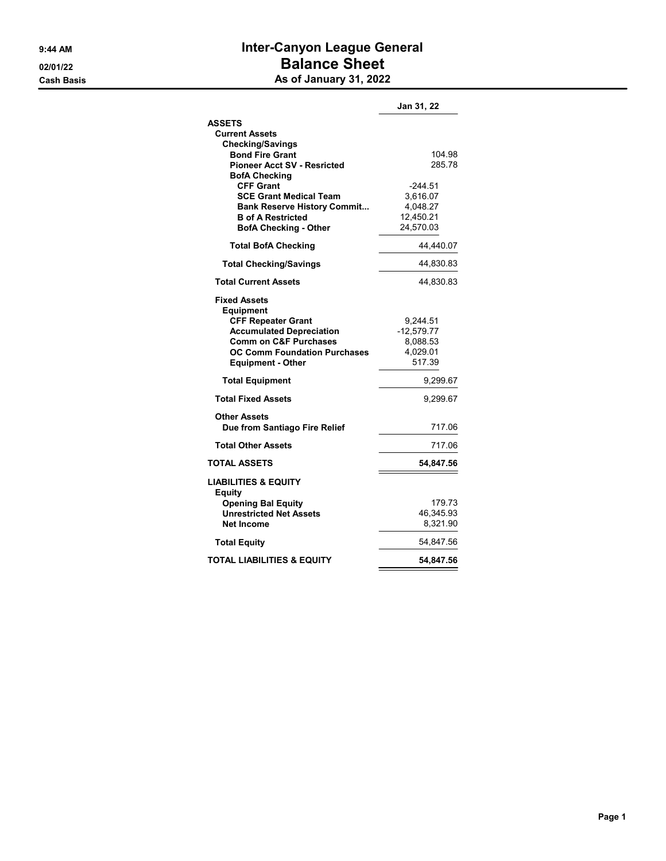### 9:44 AM **Inter-Canyon League General** 02/01/22 Balance Sheet Cash Basis **As of January 31, 2022**

|                                                                | Jan 31, 22            |
|----------------------------------------------------------------|-----------------------|
| <b>ASSETS</b>                                                  |                       |
| <b>Current Assets</b>                                          |                       |
| <b>Checking/Savings</b>                                        |                       |
| <b>Bond Fire Grant</b>                                         | 104.98                |
| <b>Pioneer Acct SV - Resricted</b>                             | 285.78                |
| <b>BofA Checking</b>                                           |                       |
| <b>CFF Grant</b>                                               | -244.51               |
| <b>SCE Grant Medical Team</b>                                  | 3,616.07              |
| <b>Bank Reserve History Commit</b><br><b>B</b> of A Restricted | 4,048.27<br>12,450.21 |
| <b>BofA Checking - Other</b>                                   | 24,570.03             |
|                                                                |                       |
| <b>Total BofA Checking</b>                                     | 44,440.07             |
| <b>Total Checking/Savings</b>                                  | 44,830.83             |
| <b>Total Current Assets</b>                                    | 44,830.83             |
| <b>Fixed Assets</b><br>Equipment                               |                       |
| <b>CFF Repeater Grant</b>                                      | 9,244.51              |
| <b>Accumulated Depreciation</b>                                | $-12,579.77$          |
| <b>Comm on C&amp;F Purchases</b>                               | 8,088.53              |
| <b>OC Comm Foundation Purchases</b>                            | 4,029.01              |
| <b>Equipment - Other</b>                                       | 517.39                |
| <b>Total Equipment</b>                                         | 9,299.67              |
| <b>Total Fixed Assets</b>                                      | 9,299.67              |
| <b>Other Assets</b>                                            |                       |
| Due from Santiago Fire Relief                                  | 717.06                |
| <b>Total Other Assets</b>                                      | 717.06                |
| <b>TOTAL ASSETS</b>                                            | 54,847.56             |
| <b>LIABILITIES &amp; EQUITY</b><br><b>Equity</b>               |                       |
| <b>Opening Bal Equity</b>                                      | 179.73                |
| <b>Unrestricted Net Assets</b>                                 | 46,345.93             |
| <b>Net Income</b>                                              | 8,321.90              |
| <b>Total Equity</b>                                            | 54,847.56             |
| <b>TOTAL LIABILITIES &amp; EQUITY</b>                          | 54,847.56             |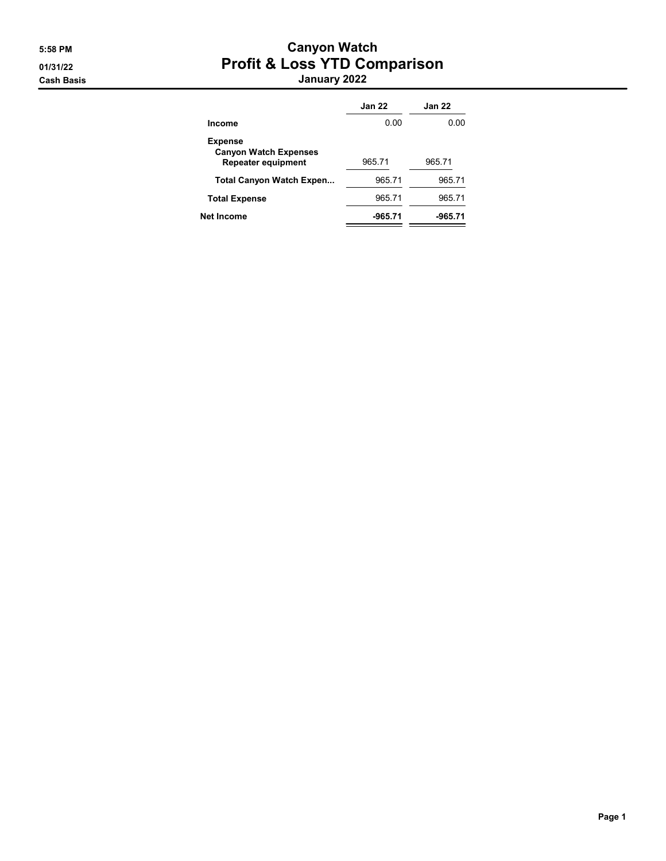#### 5:58 PM Canyon Watch 01/31/22 Profit & Loss YTD Comparison Cash Basis January 2022

|                                                                             | <b>Jan 22</b> | <b>Jan 22</b> |
|-----------------------------------------------------------------------------|---------------|---------------|
| Income                                                                      | 0.00          | 0.00          |
| <b>Expense</b><br><b>Canyon Watch Expenses</b><br><b>Repeater equipment</b> | 965.71        | 965.71        |
| <b>Total Canyon Watch Expen</b>                                             | 965.71        | 965.71        |
| <b>Total Expense</b>                                                        | 965.71        | 965.71        |
| Net Income                                                                  | -965.71       | -965.71       |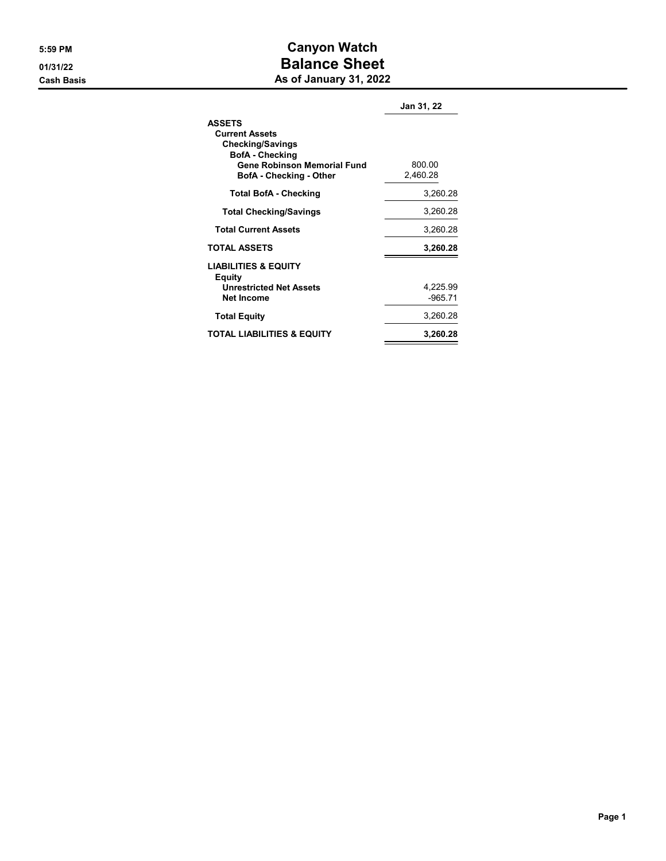#### 5:59 PM Canyon Watch 01/31/22 **Balance Sheet** Cash Basis **As of January 31, 2022**

|                                                                      | Jan 31, 22            |
|----------------------------------------------------------------------|-----------------------|
| <b>ASSETS</b><br><b>Current Assets</b>                               |                       |
| <b>Checking/Savings</b><br><b>BofA</b> - Checking                    |                       |
| <b>Gene Robinson Memorial Fund</b><br><b>BofA</b> - Checking - Other | 800.00<br>2,460.28    |
| <b>Total BofA - Checking</b>                                         | 3,260.28              |
| <b>Total Checking/Savings</b>                                        | 3,260.28              |
| <b>Total Current Assets</b>                                          | 3,260.28              |
| <b>TOTAL ASSETS</b>                                                  | 3,260.28              |
| <b>LIABILITIES &amp; EQUITY</b><br>Equity                            |                       |
| <b>Unrestricted Net Assets</b><br><b>Net Income</b>                  | 4,225.99<br>$-965.71$ |
| <b>Total Equity</b>                                                  | 3,260.28              |
| TOTAL LIABILITIES & EQUITY                                           | 3,260.28              |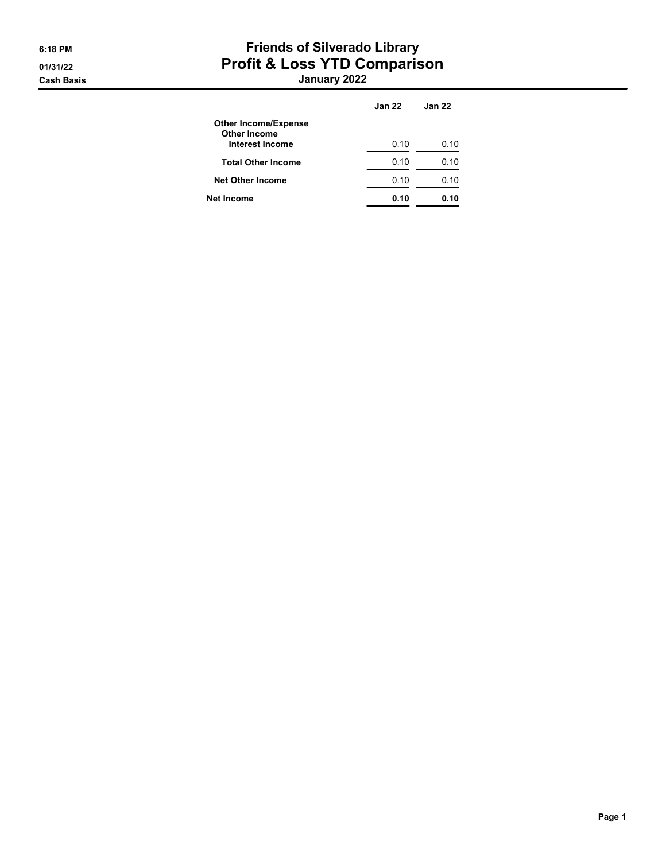# 6:18 PM Friends of Silverado Library 01/31/22 Profit & Loss YTD Comparison

Cash Basis January 2022

|                                                    | <b>Jan 22</b> | <b>Jan 22</b> |
|----------------------------------------------------|---------------|---------------|
| <b>Other Income/Expense</b><br><b>Other Income</b> |               |               |
| Interest Income                                    | 0.10          | 0.10          |
| <b>Total Other Income</b>                          | 0.10          | 0.10          |
| <b>Net Other Income</b>                            | 0.10          | 0.10          |
| Net Income                                         | 0.10          | 0.10          |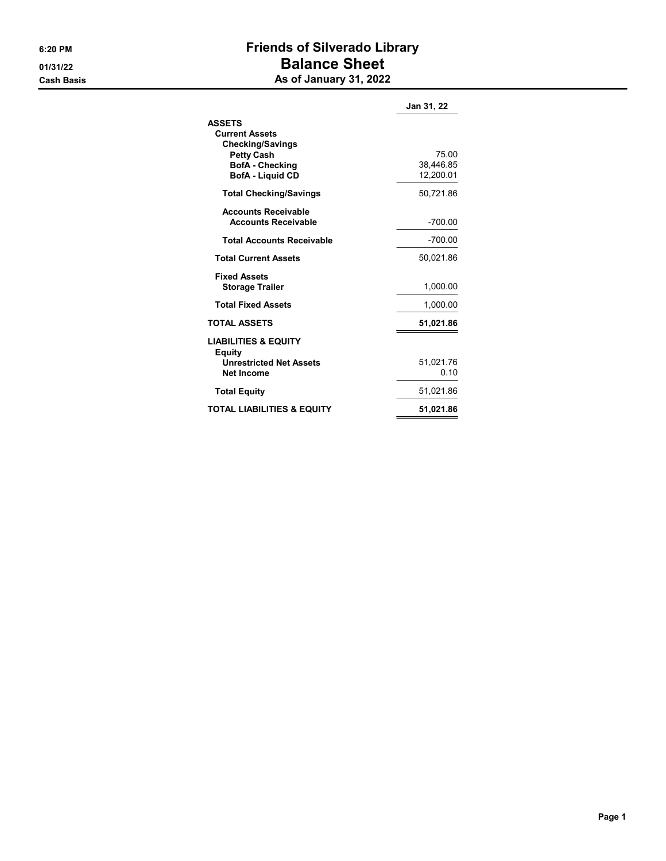## 6:20 PM Friends of Silverado Library 01/31/22 Balance Sheet Cash Basis **As of January 31, 2022**

|                                                                                                                                             | Jan 31, 22                      |
|---------------------------------------------------------------------------------------------------------------------------------------------|---------------------------------|
| <b>ASSETS</b><br><b>Current Assets</b><br><b>Checking/Savings</b><br><b>Petty Cash</b><br><b>BofA</b> - Checking<br><b>BofA</b> - Liquid CD | 75.00<br>38,446.85<br>12,200.01 |
| <b>Total Checking/Savings</b>                                                                                                               | 50,721.86                       |
| <b>Accounts Receivable</b><br><b>Accounts Receivable</b>                                                                                    | $-700.00$                       |
| <b>Total Accounts Receivable</b>                                                                                                            | $-700.00$                       |
| <b>Total Current Assets</b>                                                                                                                 | 50,021.86                       |
| <b>Fixed Assets</b><br><b>Storage Trailer</b>                                                                                               | 1,000.00                        |
| <b>Total Fixed Assets</b>                                                                                                                   | 1,000.00                        |
| <b>TOTAL ASSETS</b>                                                                                                                         | 51,021.86                       |
| <b>LIABILITIES &amp; EQUITY</b><br>Equity<br><b>Unrestricted Net Assets</b><br><b>Net Income</b>                                            | 51,021.76<br>0.10               |
| <b>Total Equity</b>                                                                                                                         | 51,021.86                       |
| <b>TOTAL LIABILITIES &amp; EQUITY</b>                                                                                                       | 51,021.86                       |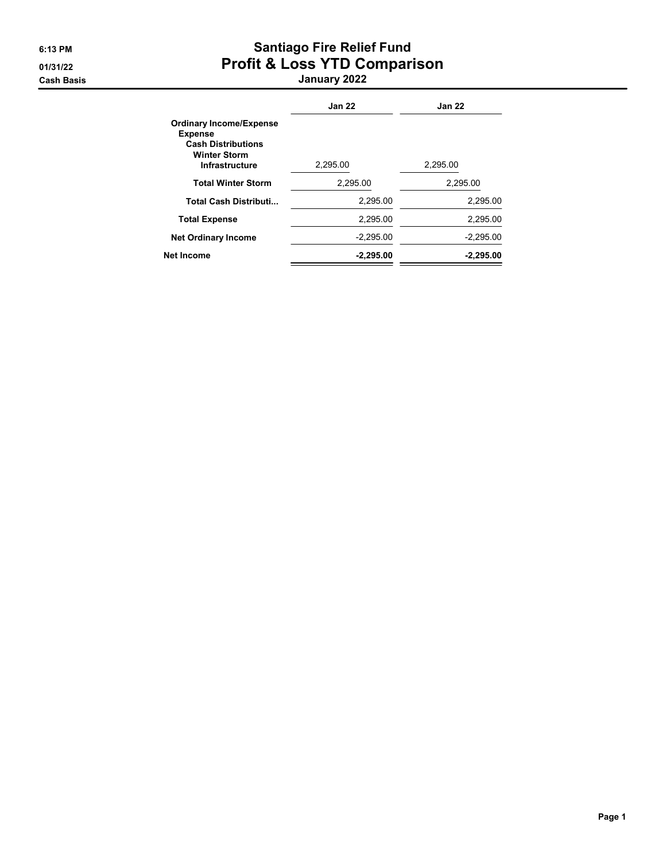# 6:13 PM Santiago Fire Relief Fund 01/31/22 Profit & Loss YTD Comparison

Cash Basis January 2022

|                                                                                                                               | <b>Jan 22</b> | <b>Jan 22</b> |
|-------------------------------------------------------------------------------------------------------------------------------|---------------|---------------|
| <b>Ordinary Income/Expense</b><br><b>Expense</b><br><b>Cash Distributions</b><br><b>Winter Storm</b><br><b>Infrastructure</b> | 2,295.00      | 2,295.00      |
| <b>Total Winter Storm</b>                                                                                                     | 2.295.00      | 2.295.00      |
| <b>Total Cash Distributi</b>                                                                                                  | 2,295.00      | 2,295.00      |
| <b>Total Expense</b>                                                                                                          | 2.295.00      | 2.295.00      |
| <b>Net Ordinary Income</b>                                                                                                    | $-2,295.00$   | $-2,295.00$   |
| Net Income                                                                                                                    | $-2.295.00$   | $-2.295.00$   |